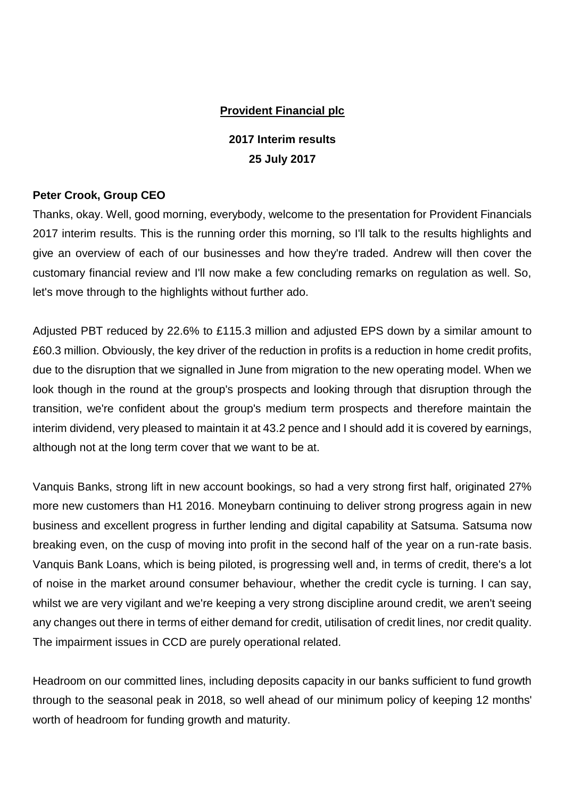# **Provident Financial plc**

**2017 Interim results 25 July 2017**

## **Peter Crook, Group CEO**

Thanks, okay. Well, good morning, everybody, welcome to the presentation for Provident Financials 2017 interim results. This is the running order this morning, so I'll talk to the results highlights and give an overview of each of our businesses and how they're traded. Andrew will then cover the customary financial review and I'll now make a few concluding remarks on regulation as well. So, let's move through to the highlights without further ado.

Adjusted PBT reduced by 22.6% to £115.3 million and adjusted EPS down by a similar amount to £60.3 million. Obviously, the key driver of the reduction in profits is a reduction in home credit profits, due to the disruption that we signalled in June from migration to the new operating model. When we look though in the round at the group's prospects and looking through that disruption through the transition, we're confident about the group's medium term prospects and therefore maintain the interim dividend, very pleased to maintain it at 43.2 pence and I should add it is covered by earnings, although not at the long term cover that we want to be at.

Vanquis Banks, strong lift in new account bookings, so had a very strong first half, originated 27% more new customers than H1 2016. Moneybarn continuing to deliver strong progress again in new business and excellent progress in further lending and digital capability at Satsuma. Satsuma now breaking even, on the cusp of moving into profit in the second half of the year on a run-rate basis. Vanquis Bank Loans, which is being piloted, is progressing well and, in terms of credit, there's a lot of noise in the market around consumer behaviour, whether the credit cycle is turning. I can say, whilst we are very vigilant and we're keeping a very strong discipline around credit, we aren't seeing any changes out there in terms of either demand for credit, utilisation of credit lines, nor credit quality. The impairment issues in CCD are purely operational related.

Headroom on our committed lines, including deposits capacity in our banks sufficient to fund growth through to the seasonal peak in 2018, so well ahead of our minimum policy of keeping 12 months' worth of headroom for funding growth and maturity.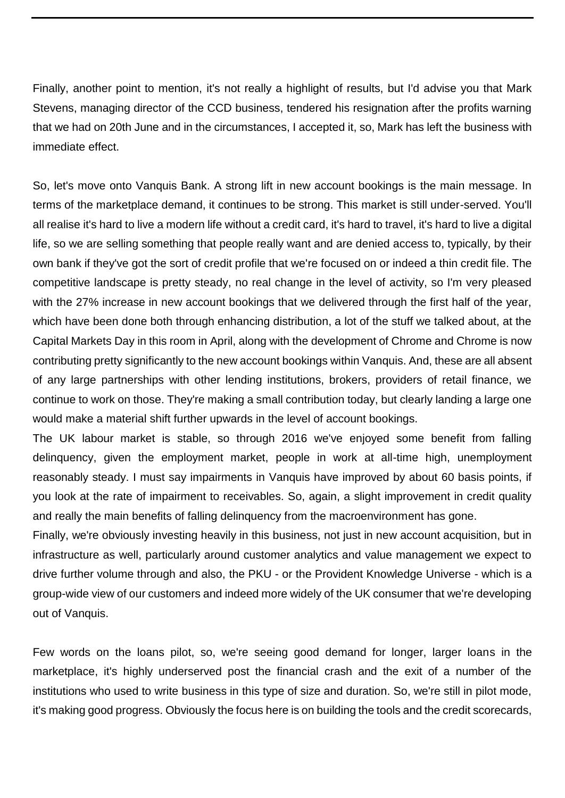Finally, another point to mention, it's not really a highlight of results, but I'd advise you that Mark Stevens, managing director of the CCD business, tendered his resignation after the profits warning that we had on 20th June and in the circumstances, I accepted it, so, Mark has left the business with immediate effect.

So, let's move onto Vanquis Bank. A strong lift in new account bookings is the main message. In terms of the marketplace demand, it continues to be strong. This market is still under-served. You'll all realise it's hard to live a modern life without a credit card, it's hard to travel, it's hard to live a digital life, so we are selling something that people really want and are denied access to, typically, by their own bank if they've got the sort of credit profile that we're focused on or indeed a thin credit file. The competitive landscape is pretty steady, no real change in the level of activity, so I'm very pleased with the 27% increase in new account bookings that we delivered through the first half of the year, which have been done both through enhancing distribution, a lot of the stuff we talked about, at the Capital Markets Day in this room in April, along with the development of Chrome and Chrome is now contributing pretty significantly to the new account bookings within Vanquis. And, these are all absent of any large partnerships with other lending institutions, brokers, providers of retail finance, we continue to work on those. They're making a small contribution today, but clearly landing a large one would make a material shift further upwards in the level of account bookings.

The UK labour market is stable, so through 2016 we've enjoyed some benefit from falling delinquency, given the employment market, people in work at all-time high, unemployment reasonably steady. I must say impairments in Vanquis have improved by about 60 basis points, if you look at the rate of impairment to receivables. So, again, a slight improvement in credit quality and really the main benefits of falling delinquency from the macroenvironment has gone.

Finally, we're obviously investing heavily in this business, not just in new account acquisition, but in infrastructure as well, particularly around customer analytics and value management we expect to drive further volume through and also, the PKU - or the Provident Knowledge Universe - which is a group-wide view of our customers and indeed more widely of the UK consumer that we're developing out of Vanquis.

Few words on the loans pilot, so, we're seeing good demand for longer, larger loans in the marketplace, it's highly underserved post the financial crash and the exit of a number of the institutions who used to write business in this type of size and duration. So, we're still in pilot mode, it's making good progress. Obviously the focus here is on building the tools and the credit scorecards,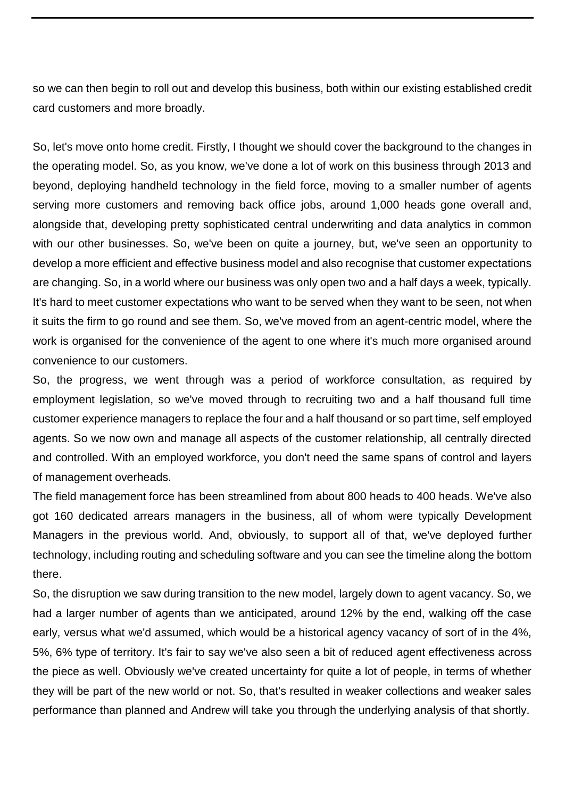so we can then begin to roll out and develop this business, both within our existing established credit card customers and more broadly.

So, let's move onto home credit. Firstly, I thought we should cover the background to the changes in the operating model. So, as you know, we've done a lot of work on this business through 2013 and beyond, deploying handheld technology in the field force, moving to a smaller number of agents serving more customers and removing back office jobs, around 1,000 heads gone overall and, alongside that, developing pretty sophisticated central underwriting and data analytics in common with our other businesses. So, we've been on quite a journey, but, we've seen an opportunity to develop a more efficient and effective business model and also recognise that customer expectations are changing. So, in a world where our business was only open two and a half days a week, typically. It's hard to meet customer expectations who want to be served when they want to be seen, not when it suits the firm to go round and see them. So, we've moved from an agent-centric model, where the work is organised for the convenience of the agent to one where it's much more organised around convenience to our customers.

So, the progress, we went through was a period of workforce consultation, as required by employment legislation, so we've moved through to recruiting two and a half thousand full time customer experience managers to replace the four and a half thousand or so part time, self employed agents. So we now own and manage all aspects of the customer relationship, all centrally directed and controlled. With an employed workforce, you don't need the same spans of control and layers of management overheads.

The field management force has been streamlined from about 800 heads to 400 heads. We've also got 160 dedicated arrears managers in the business, all of whom were typically Development Managers in the previous world. And, obviously, to support all of that, we've deployed further technology, including routing and scheduling software and you can see the timeline along the bottom there.

So, the disruption we saw during transition to the new model, largely down to agent vacancy. So, we had a larger number of agents than we anticipated, around 12% by the end, walking off the case early, versus what we'd assumed, which would be a historical agency vacancy of sort of in the 4%, 5%, 6% type of territory. It's fair to say we've also seen a bit of reduced agent effectiveness across the piece as well. Obviously we've created uncertainty for quite a lot of people, in terms of whether they will be part of the new world or not. So, that's resulted in weaker collections and weaker sales performance than planned and Andrew will take you through the underlying analysis of that shortly.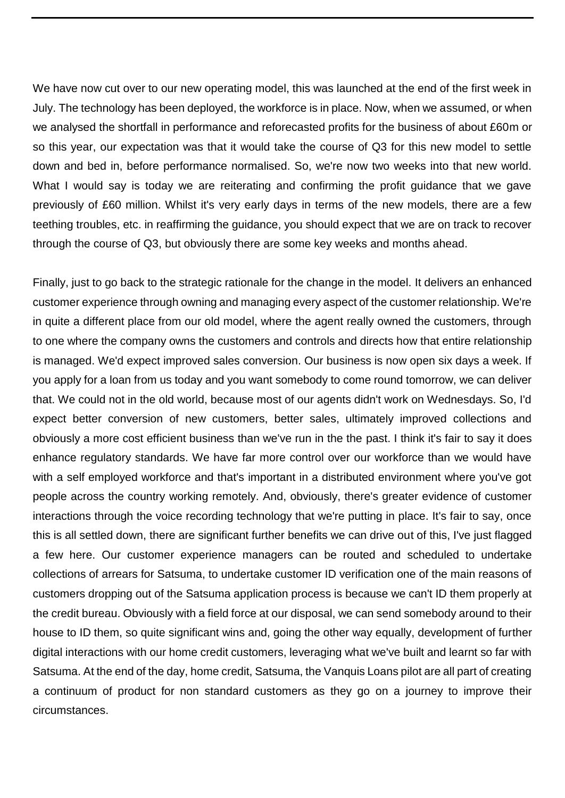We have now cut over to our new operating model, this was launched at the end of the first week in July. The technology has been deployed, the workforce is in place. Now, when we assumed, or when we analysed the shortfall in performance and reforecasted profits for the business of about £60m or so this year, our expectation was that it would take the course of Q3 for this new model to settle down and bed in, before performance normalised. So, we're now two weeks into that new world. What I would say is today we are reiterating and confirming the profit guidance that we gave previously of £60 million. Whilst it's very early days in terms of the new models, there are a few teething troubles, etc. in reaffirming the guidance, you should expect that we are on track to recover through the course of Q3, but obviously there are some key weeks and months ahead.

Finally, just to go back to the strategic rationale for the change in the model. It delivers an enhanced customer experience through owning and managing every aspect of the customer relationship. We're in quite a different place from our old model, where the agent really owned the customers, through to one where the company owns the customers and controls and directs how that entire relationship is managed. We'd expect improved sales conversion. Our business is now open six days a week. If you apply for a loan from us today and you want somebody to come round tomorrow, we can deliver that. We could not in the old world, because most of our agents didn't work on Wednesdays. So, I'd expect better conversion of new customers, better sales, ultimately improved collections and obviously a more cost efficient business than we've run in the the past. I think it's fair to say it does enhance regulatory standards. We have far more control over our workforce than we would have with a self employed workforce and that's important in a distributed environment where you've got people across the country working remotely. And, obviously, there's greater evidence of customer interactions through the voice recording technology that we're putting in place. It's fair to say, once this is all settled down, there are significant further benefits we can drive out of this, I've just flagged a few here. Our customer experience managers can be routed and scheduled to undertake collections of arrears for Satsuma, to undertake customer ID verification one of the main reasons of customers dropping out of the Satsuma application process is because we can't ID them properly at the credit bureau. Obviously with a field force at our disposal, we can send somebody around to their house to ID them, so quite significant wins and, going the other way equally, development of further digital interactions with our home credit customers, leveraging what we've built and learnt so far with Satsuma. At the end of the day, home credit, Satsuma, the Vanquis Loans pilot are all part of creating a continuum of product for non standard customers as they go on a journey to improve their circumstances.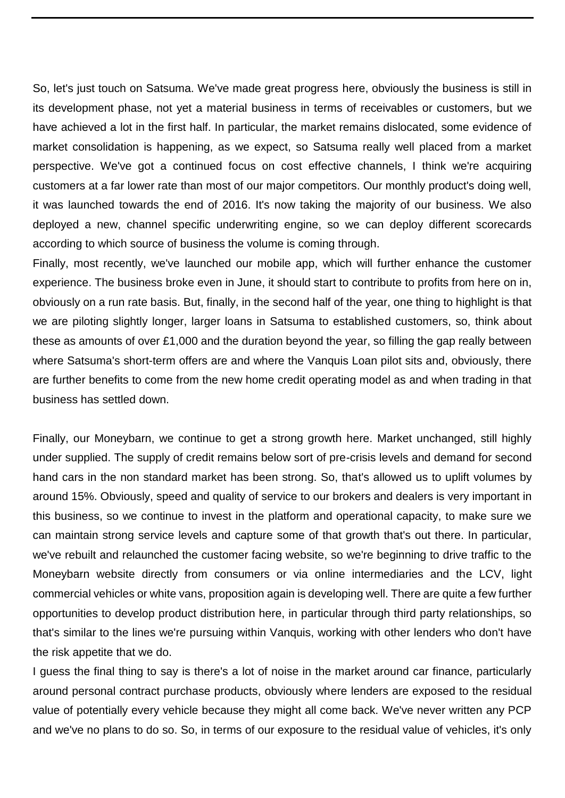So, let's just touch on Satsuma. We've made great progress here, obviously the business is still in its development phase, not yet a material business in terms of receivables or customers, but we have achieved a lot in the first half. In particular, the market remains dislocated, some evidence of market consolidation is happening, as we expect, so Satsuma really well placed from a market perspective. We've got a continued focus on cost effective channels, I think we're acquiring customers at a far lower rate than most of our major competitors. Our monthly product's doing well, it was launched towards the end of 2016. It's now taking the majority of our business. We also deployed a new, channel specific underwriting engine, so we can deploy different scorecards according to which source of business the volume is coming through.

Finally, most recently, we've launched our mobile app, which will further enhance the customer experience. The business broke even in June, it should start to contribute to profits from here on in, obviously on a run rate basis. But, finally, in the second half of the year, one thing to highlight is that we are piloting slightly longer, larger loans in Satsuma to established customers, so, think about these as amounts of over £1,000 and the duration beyond the year, so filling the gap really between where Satsuma's short-term offers are and where the Vanquis Loan pilot sits and, obviously, there are further benefits to come from the new home credit operating model as and when trading in that business has settled down.

Finally, our Moneybarn, we continue to get a strong growth here. Market unchanged, still highly under supplied. The supply of credit remains below sort of pre-crisis levels and demand for second hand cars in the non standard market has been strong. So, that's allowed us to uplift volumes by around 15%. Obviously, speed and quality of service to our brokers and dealers is very important in this business, so we continue to invest in the platform and operational capacity, to make sure we can maintain strong service levels and capture some of that growth that's out there. In particular, we've rebuilt and relaunched the customer facing website, so we're beginning to drive traffic to the Moneybarn website directly from consumers or via online intermediaries and the LCV, light commercial vehicles or white vans, proposition again is developing well. There are quite a few further opportunities to develop product distribution here, in particular through third party relationships, so that's similar to the lines we're pursuing within Vanquis, working with other lenders who don't have the risk appetite that we do.

I guess the final thing to say is there's a lot of noise in the market around car finance, particularly around personal contract purchase products, obviously where lenders are exposed to the residual value of potentially every vehicle because they might all come back. We've never written any PCP and we've no plans to do so. So, in terms of our exposure to the residual value of vehicles, it's only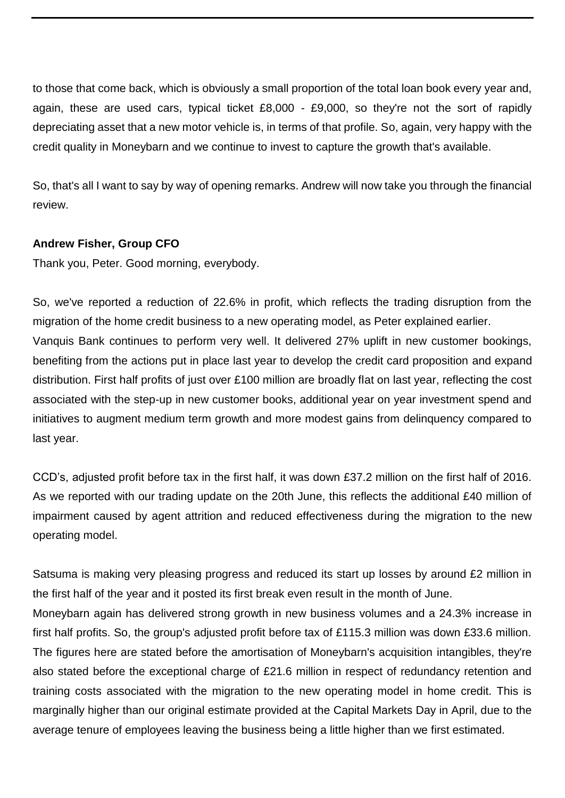to those that come back, which is obviously a small proportion of the total loan book every year and, again, these are used cars, typical ticket £8,000 - £9,000, so they're not the sort of rapidly depreciating asset that a new motor vehicle is, in terms of that profile. So, again, very happy with the credit quality in Moneybarn and we continue to invest to capture the growth that's available.

So, that's all I want to say by way of opening remarks. Andrew will now take you through the financial review.

# **Andrew Fisher, Group CFO**

Thank you, Peter. Good morning, everybody.

So, we've reported a reduction of 22.6% in profit, which reflects the trading disruption from the migration of the home credit business to a new operating model, as Peter explained earlier. Vanquis Bank continues to perform very well. It delivered 27% uplift in new customer bookings, benefiting from the actions put in place last year to develop the credit card proposition and expand distribution. First half profits of just over £100 million are broadly flat on last year, reflecting the cost associated with the step-up in new customer books, additional year on year investment spend and initiatives to augment medium term growth and more modest gains from delinquency compared to last year.

CCD's, adjusted profit before tax in the first half, it was down £37.2 million on the first half of 2016. As we reported with our trading update on the 20th June, this reflects the additional £40 million of impairment caused by agent attrition and reduced effectiveness during the migration to the new operating model.

Satsuma is making very pleasing progress and reduced its start up losses by around £2 million in the first half of the year and it posted its first break even result in the month of June.

Moneybarn again has delivered strong growth in new business volumes and a 24.3% increase in first half profits. So, the group's adjusted profit before tax of £115.3 million was down £33.6 million. The figures here are stated before the amortisation of Moneybarn's acquisition intangibles, they're also stated before the exceptional charge of £21.6 million in respect of redundancy retention and training costs associated with the migration to the new operating model in home credit. This is marginally higher than our original estimate provided at the Capital Markets Day in April, due to the average tenure of employees leaving the business being a little higher than we first estimated.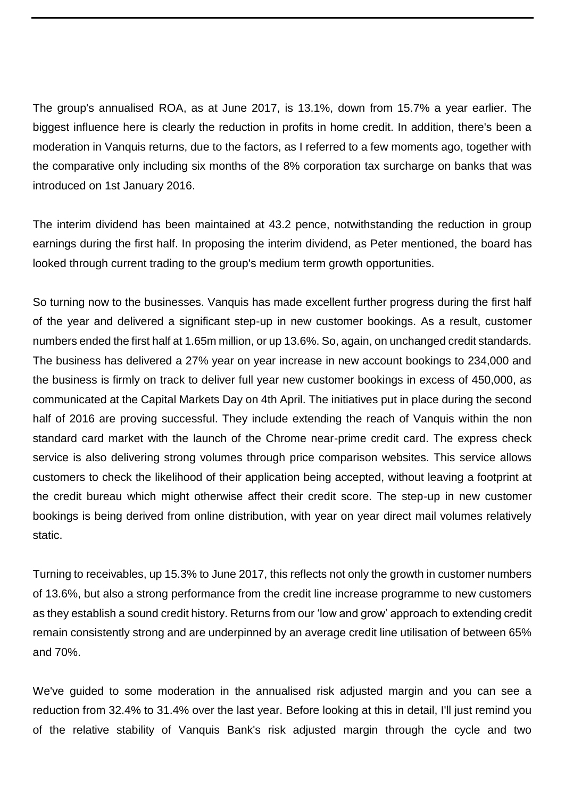The group's annualised ROA, as at June 2017, is 13.1%, down from 15.7% a year earlier. The biggest influence here is clearly the reduction in profits in home credit. In addition, there's been a moderation in Vanquis returns, due to the factors, as I referred to a few moments ago, together with the comparative only including six months of the 8% corporation tax surcharge on banks that was introduced on 1st January 2016.

The interim dividend has been maintained at 43.2 pence, notwithstanding the reduction in group earnings during the first half. In proposing the interim dividend, as Peter mentioned, the board has looked through current trading to the group's medium term growth opportunities.

So turning now to the businesses. Vanquis has made excellent further progress during the first half of the year and delivered a significant step-up in new customer bookings. As a result, customer numbers ended the first half at 1.65m million, or up 13.6%. So, again, on unchanged credit standards. The business has delivered a 27% year on year increase in new account bookings to 234,000 and the business is firmly on track to deliver full year new customer bookings in excess of 450,000, as communicated at the Capital Markets Day on 4th April. The initiatives put in place during the second half of 2016 are proving successful. They include extending the reach of Vanquis within the non standard card market with the launch of the Chrome near-prime credit card. The express check service is also delivering strong volumes through price comparison websites. This service allows customers to check the likelihood of their application being accepted, without leaving a footprint at the credit bureau which might otherwise affect their credit score. The step-up in new customer bookings is being derived from online distribution, with year on year direct mail volumes relatively static.

Turning to receivables, up 15.3% to June 2017, this reflects not only the growth in customer numbers of 13.6%, but also a strong performance from the credit line increase programme to new customers as they establish a sound credit history. Returns from our 'low and grow' approach to extending credit remain consistently strong and are underpinned by an average credit line utilisation of between 65% and 70%.

We've guided to some moderation in the annualised risk adjusted margin and you can see a reduction from 32.4% to 31.4% over the last year. Before looking at this in detail, I'll just remind you of the relative stability of Vanquis Bank's risk adjusted margin through the cycle and two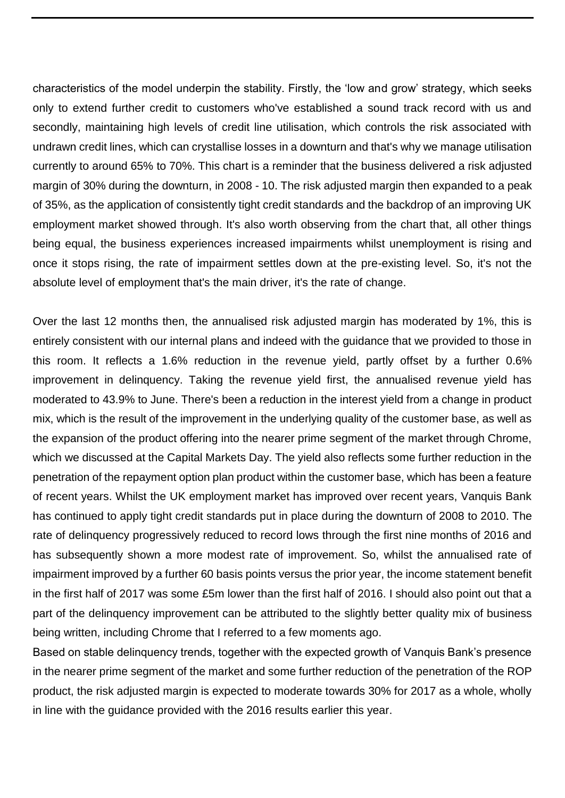characteristics of the model underpin the stability. Firstly, the 'low and grow' strategy, which seeks only to extend further credit to customers who've established a sound track record with us and secondly, maintaining high levels of credit line utilisation, which controls the risk associated with undrawn credit lines, which can crystallise losses in a downturn and that's why we manage utilisation currently to around 65% to 70%. This chart is a reminder that the business delivered a risk adjusted margin of 30% during the downturn, in 2008 - 10. The risk adjusted margin then expanded to a peak of 35%, as the application of consistently tight credit standards and the backdrop of an improving UK employment market showed through. It's also worth observing from the chart that, all other things being equal, the business experiences increased impairments whilst unemployment is rising and once it stops rising, the rate of impairment settles down at the pre-existing level. So, it's not the absolute level of employment that's the main driver, it's the rate of change.

Over the last 12 months then, the annualised risk adjusted margin has moderated by 1%, this is entirely consistent with our internal plans and indeed with the guidance that we provided to those in this room. It reflects a 1.6% reduction in the revenue yield, partly offset by a further 0.6% improvement in delinquency. Taking the revenue yield first, the annualised revenue yield has moderated to 43.9% to June. There's been a reduction in the interest yield from a change in product mix, which is the result of the improvement in the underlying quality of the customer base, as well as the expansion of the product offering into the nearer prime segment of the market through Chrome, which we discussed at the Capital Markets Day. The yield also reflects some further reduction in the penetration of the repayment option plan product within the customer base, which has been a feature of recent years. Whilst the UK employment market has improved over recent years, Vanquis Bank has continued to apply tight credit standards put in place during the downturn of 2008 to 2010. The rate of delinquency progressively reduced to record lows through the first nine months of 2016 and has subsequently shown a more modest rate of improvement. So, whilst the annualised rate of impairment improved by a further 60 basis points versus the prior year, the income statement benefit in the first half of 2017 was some £5m lower than the first half of 2016. I should also point out that a part of the delinquency improvement can be attributed to the slightly better quality mix of business being written, including Chrome that I referred to a few moments ago.

Based on stable delinquency trends, together with the expected growth of Vanquis Bank's presence in the nearer prime segment of the market and some further reduction of the penetration of the ROP product, the risk adjusted margin is expected to moderate towards 30% for 2017 as a whole, wholly in line with the guidance provided with the 2016 results earlier this year.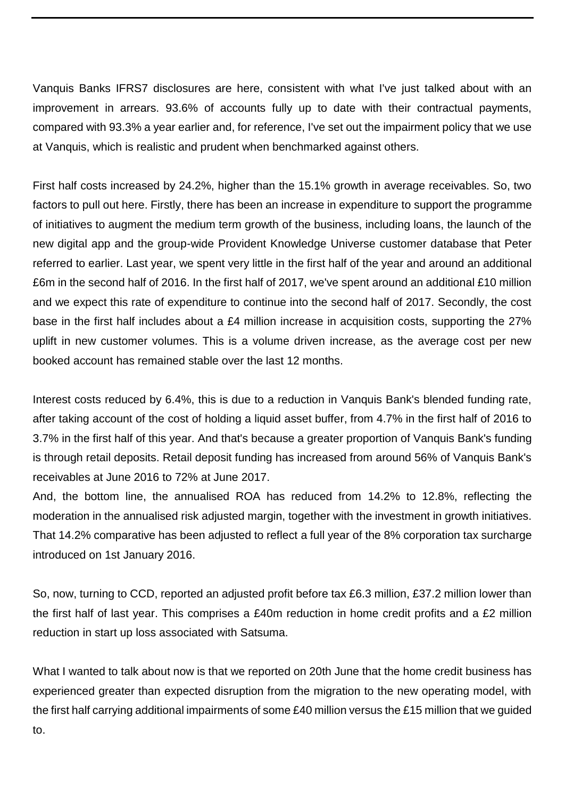Vanquis Banks IFRS7 disclosures are here, consistent with what I've just talked about with an improvement in arrears. 93.6% of accounts fully up to date with their contractual payments, compared with 93.3% a year earlier and, for reference, I've set out the impairment policy that we use at Vanquis, which is realistic and prudent when benchmarked against others.

First half costs increased by 24.2%, higher than the 15.1% growth in average receivables. So, two factors to pull out here. Firstly, there has been an increase in expenditure to support the programme of initiatives to augment the medium term growth of the business, including loans, the launch of the new digital app and the group-wide Provident Knowledge Universe customer database that Peter referred to earlier. Last year, we spent very little in the first half of the year and around an additional £6m in the second half of 2016. In the first half of 2017, we've spent around an additional £10 million and we expect this rate of expenditure to continue into the second half of 2017. Secondly, the cost base in the first half includes about a £4 million increase in acquisition costs, supporting the 27% uplift in new customer volumes. This is a volume driven increase, as the average cost per new booked account has remained stable over the last 12 months.

Interest costs reduced by 6.4%, this is due to a reduction in Vanquis Bank's blended funding rate, after taking account of the cost of holding a liquid asset buffer, from 4.7% in the first half of 2016 to 3.7% in the first half of this year. And that's because a greater proportion of Vanquis Bank's funding is through retail deposits. Retail deposit funding has increased from around 56% of Vanquis Bank's receivables at June 2016 to 72% at June 2017.

And, the bottom line, the annualised ROA has reduced from 14.2% to 12.8%, reflecting the moderation in the annualised risk adjusted margin, together with the investment in growth initiatives. That 14.2% comparative has been adjusted to reflect a full year of the 8% corporation tax surcharge introduced on 1st January 2016.

So, now, turning to CCD, reported an adjusted profit before tax £6.3 million, £37.2 million lower than the first half of last year. This comprises a £40m reduction in home credit profits and a £2 million reduction in start up loss associated with Satsuma.

What I wanted to talk about now is that we reported on 20th June that the home credit business has experienced greater than expected disruption from the migration to the new operating model, with the first half carrying additional impairments of some £40 million versus the £15 million that we guided to.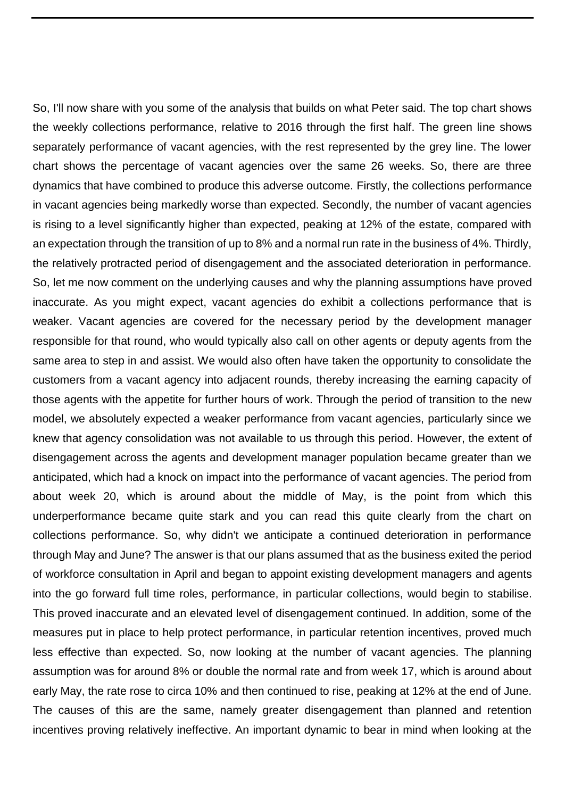So, I'll now share with you some of the analysis that builds on what Peter said. The top chart shows the weekly collections performance, relative to 2016 through the first half. The green line shows separately performance of vacant agencies, with the rest represented by the grey line. The lower chart shows the percentage of vacant agencies over the same 26 weeks. So, there are three dynamics that have combined to produce this adverse outcome. Firstly, the collections performance in vacant agencies being markedly worse than expected. Secondly, the number of vacant agencies is rising to a level significantly higher than expected, peaking at 12% of the estate, compared with an expectation through the transition of up to 8% and a normal run rate in the business of 4%. Thirdly, the relatively protracted period of disengagement and the associated deterioration in performance. So, let me now comment on the underlying causes and why the planning assumptions have proved inaccurate. As you might expect, vacant agencies do exhibit a collections performance that is weaker. Vacant agencies are covered for the necessary period by the development manager responsible for that round, who would typically also call on other agents or deputy agents from the same area to step in and assist. We would also often have taken the opportunity to consolidate the customers from a vacant agency into adjacent rounds, thereby increasing the earning capacity of those agents with the appetite for further hours of work. Through the period of transition to the new model, we absolutely expected a weaker performance from vacant agencies, particularly since we knew that agency consolidation was not available to us through this period. However, the extent of disengagement across the agents and development manager population became greater than we anticipated, which had a knock on impact into the performance of vacant agencies. The period from about week 20, which is around about the middle of May, is the point from which this underperformance became quite stark and you can read this quite clearly from the chart on collections performance. So, why didn't we anticipate a continued deterioration in performance through May and June? The answer is that our plans assumed that as the business exited the period of workforce consultation in April and began to appoint existing development managers and agents into the go forward full time roles, performance, in particular collections, would begin to stabilise. This proved inaccurate and an elevated level of disengagement continued. In addition, some of the measures put in place to help protect performance, in particular retention incentives, proved much less effective than expected. So, now looking at the number of vacant agencies. The planning assumption was for around 8% or double the normal rate and from week 17, which is around about early May, the rate rose to circa 10% and then continued to rise, peaking at 12% at the end of June. The causes of this are the same, namely greater disengagement than planned and retention incentives proving relatively ineffective. An important dynamic to bear in mind when looking at the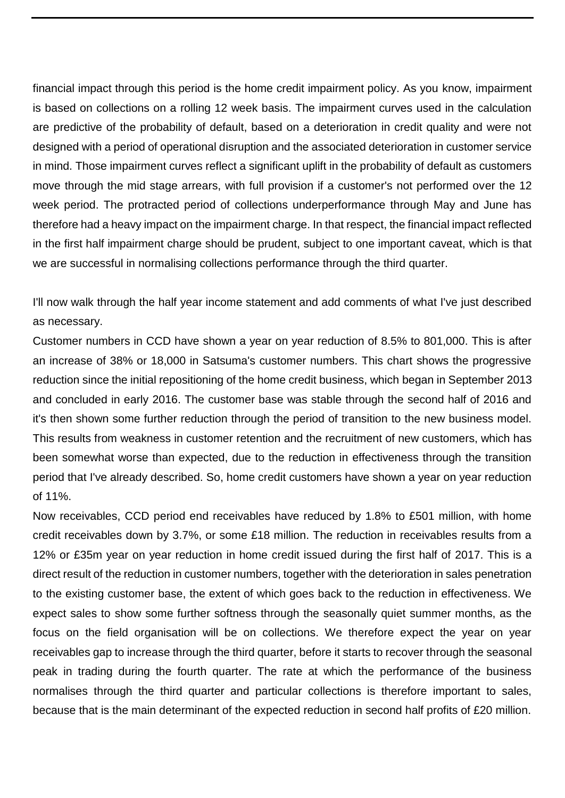financial impact through this period is the home credit impairment policy. As you know, impairment is based on collections on a rolling 12 week basis. The impairment curves used in the calculation are predictive of the probability of default, based on a deterioration in credit quality and were not designed with a period of operational disruption and the associated deterioration in customer service in mind. Those impairment curves reflect a significant uplift in the probability of default as customers move through the mid stage arrears, with full provision if a customer's not performed over the 12 week period. The protracted period of collections underperformance through May and June has therefore had a heavy impact on the impairment charge. In that respect, the financial impact reflected in the first half impairment charge should be prudent, subject to one important caveat, which is that we are successful in normalising collections performance through the third quarter.

I'll now walk through the half year income statement and add comments of what I've just described as necessary.

Customer numbers in CCD have shown a year on year reduction of 8.5% to 801,000. This is after an increase of 38% or 18,000 in Satsuma's customer numbers. This chart shows the progressive reduction since the initial repositioning of the home credit business, which began in September 2013 and concluded in early 2016. The customer base was stable through the second half of 2016 and it's then shown some further reduction through the period of transition to the new business model. This results from weakness in customer retention and the recruitment of new customers, which has been somewhat worse than expected, due to the reduction in effectiveness through the transition period that I've already described. So, home credit customers have shown a year on year reduction of 11%.

Now receivables, CCD period end receivables have reduced by 1.8% to £501 million, with home credit receivables down by 3.7%, or some £18 million. The reduction in receivables results from a 12% or £35m year on year reduction in home credit issued during the first half of 2017. This is a direct result of the reduction in customer numbers, together with the deterioration in sales penetration to the existing customer base, the extent of which goes back to the reduction in effectiveness. We expect sales to show some further softness through the seasonally quiet summer months, as the focus on the field organisation will be on collections. We therefore expect the year on year receivables gap to increase through the third quarter, before it starts to recover through the seasonal peak in trading during the fourth quarter. The rate at which the performance of the business normalises through the third quarter and particular collections is therefore important to sales, because that is the main determinant of the expected reduction in second half profits of £20 million.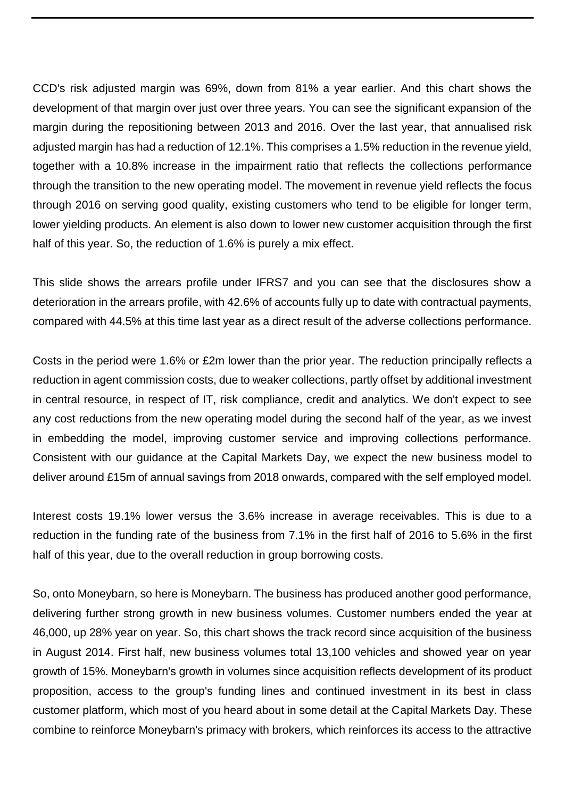CCD's risk adjusted margin was 69%, down from 81% a year earlier. And this chart shows the development of that margin over just over three years. You can see the significant expansion of the margin during the repositioning between 2013 and 2016. Over the last year, that annualised risk adjusted margin has had a reduction of 12.1%. This comprises a 1.5% reduction in the revenue yield, together with a 10.8% increase in the impairment ratio that reflects the collections performance through the transition to the new operating model. The movement in revenue yield reflects the focus through 2016 on serving good quality, existing customers who tend to be eligible for longer term, lower yielding products. An element is also down to lower new customer acquisition through the first half of this year. So, the reduction of 1.6% is purely a mix effect.

This slide shows the arrears profile under IFRS7 and you can see that the disclosures show a deterioration in the arrears profile, with 42.6% of accounts fully up to date with contractual payments, compared with 44.5% at this time last year as a direct result of the adverse collections performance.

Costs in the period were 1.6% or £2m lower than the prior year. The reduction principally reflects a reduction in agent commission costs, due to weaker collections, partly offset by additional investment in central resource, in respect of IT, risk compliance, credit and analytics. We don't expect to see any cost reductions from the new operating model during the second half of the year, as we invest in embedding the model, improving customer service and improving collections performance. Consistent with our guidance at the Capital Markets Day, we expect the new business model to deliver around £15m of annual savings from 2018 onwards, compared with the self employed model.

Interest costs 19.1% lower versus the 3.6% increase in average receivables. This is due to a reduction in the funding rate of the business from 7.1% in the first half of 2016 to 5.6% in the first half of this year, due to the overall reduction in group borrowing costs.

So, onto Moneybarn, so here is Moneybarn. The business has produced another good performance, delivering further strong growth in new business volumes. Customer numbers ended the year at 46,000, up 28% year on year. So, this chart shows the track record since acquisition of the business in August 2014. First half, new business volumes total 13,100 vehicles and showed year on year growth of 15%. Moneybarn's growth in volumes since acquisition reflects development of its product proposition, access to the group's funding lines and continued investment in its best in class customer platform, which most of you heard about in some detail at the Capital Markets Day. These combine to reinforce Moneybarn's primacy with brokers, which reinforces its access to the attractive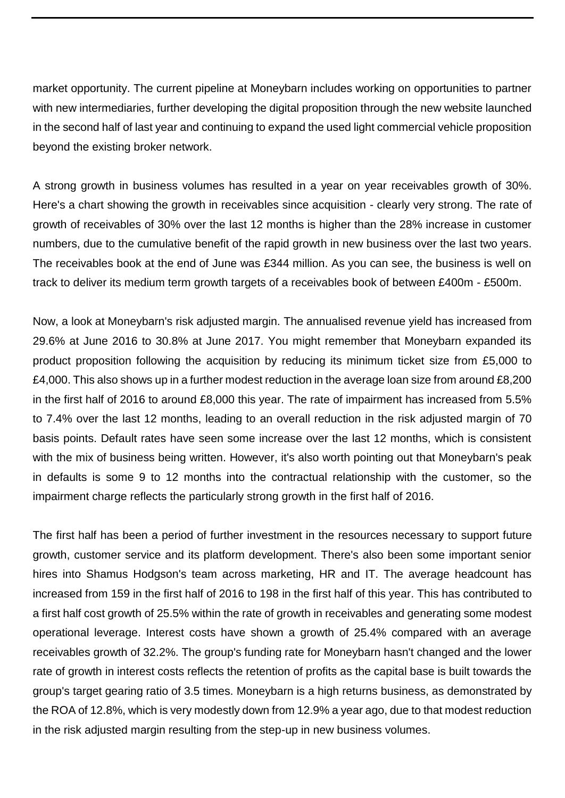market opportunity. The current pipeline at Moneybarn includes working on opportunities to partner with new intermediaries, further developing the digital proposition through the new website launched in the second half of last year and continuing to expand the used light commercial vehicle proposition beyond the existing broker network.

A strong growth in business volumes has resulted in a year on year receivables growth of 30%. Here's a chart showing the growth in receivables since acquisition - clearly very strong. The rate of growth of receivables of 30% over the last 12 months is higher than the 28% increase in customer numbers, due to the cumulative benefit of the rapid growth in new business over the last two years. The receivables book at the end of June was £344 million. As you can see, the business is well on track to deliver its medium term growth targets of a receivables book of between £400m - £500m.

Now, a look at Moneybarn's risk adjusted margin. The annualised revenue yield has increased from 29.6% at June 2016 to 30.8% at June 2017. You might remember that Moneybarn expanded its product proposition following the acquisition by reducing its minimum ticket size from £5,000 to £4,000. This also shows up in a further modest reduction in the average loan size from around £8,200 in the first half of 2016 to around £8,000 this year. The rate of impairment has increased from 5.5% to 7.4% over the last 12 months, leading to an overall reduction in the risk adjusted margin of 70 basis points. Default rates have seen some increase over the last 12 months, which is consistent with the mix of business being written. However, it's also worth pointing out that Moneybarn's peak in defaults is some 9 to 12 months into the contractual relationship with the customer, so the impairment charge reflects the particularly strong growth in the first half of 2016.

The first half has been a period of further investment in the resources necessary to support future growth, customer service and its platform development. There's also been some important senior hires into Shamus Hodgson's team across marketing, HR and IT. The average headcount has increased from 159 in the first half of 2016 to 198 in the first half of this year. This has contributed to a first half cost growth of 25.5% within the rate of growth in receivables and generating some modest operational leverage. Interest costs have shown a growth of 25.4% compared with an average receivables growth of 32.2%. The group's funding rate for Moneybarn hasn't changed and the lower rate of growth in interest costs reflects the retention of profits as the capital base is built towards the group's target gearing ratio of 3.5 times. Moneybarn is a high returns business, as demonstrated by the ROA of 12.8%, which is very modestly down from 12.9% a year ago, due to that modest reduction in the risk adjusted margin resulting from the step-up in new business volumes.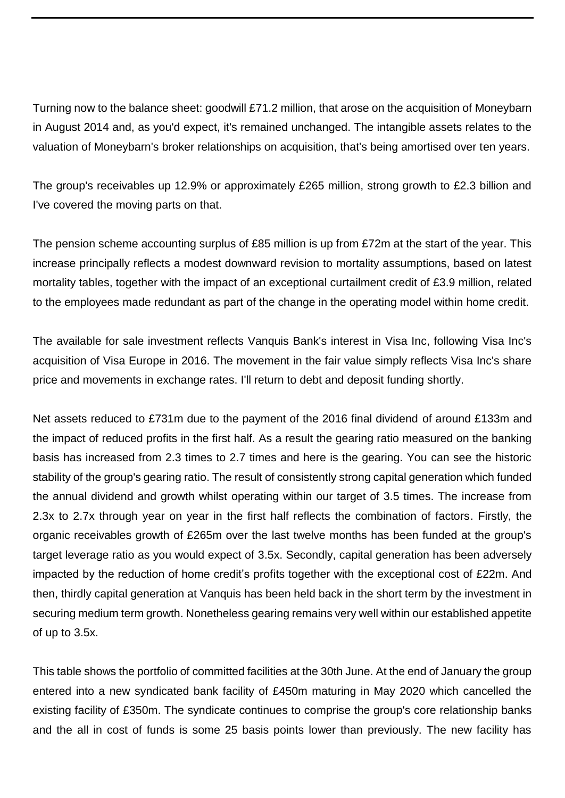Turning now to the balance sheet: goodwill £71.2 million, that arose on the acquisition of Moneybarn in August 2014 and, as you'd expect, it's remained unchanged. The intangible assets relates to the valuation of Moneybarn's broker relationships on acquisition, that's being amortised over ten years.

The group's receivables up 12.9% or approximately £265 million, strong growth to £2.3 billion and I've covered the moving parts on that.

The pension scheme accounting surplus of £85 million is up from £72m at the start of the year. This increase principally reflects a modest downward revision to mortality assumptions, based on latest mortality tables, together with the impact of an exceptional curtailment credit of £3.9 million, related to the employees made redundant as part of the change in the operating model within home credit.

The available for sale investment reflects Vanquis Bank's interest in Visa Inc, following Visa Inc's acquisition of Visa Europe in 2016. The movement in the fair value simply reflects Visa Inc's share price and movements in exchange rates. I'll return to debt and deposit funding shortly.

Net assets reduced to £731m due to the payment of the 2016 final dividend of around £133m and the impact of reduced profits in the first half. As a result the gearing ratio measured on the banking basis has increased from 2.3 times to 2.7 times and here is the gearing. You can see the historic stability of the group's gearing ratio. The result of consistently strong capital generation which funded the annual dividend and growth whilst operating within our target of 3.5 times. The increase from 2.3x to 2.7x through year on year in the first half reflects the combination of factors. Firstly, the organic receivables growth of £265m over the last twelve months has been funded at the group's target leverage ratio as you would expect of 3.5x. Secondly, capital generation has been adversely impacted by the reduction of home credit's profits together with the exceptional cost of £22m. And then, thirdly capital generation at Vanquis has been held back in the short term by the investment in securing medium term growth. Nonetheless gearing remains very well within our established appetite of up to 3.5x.

This table shows the portfolio of committed facilities at the 30th June. At the end of January the group entered into a new syndicated bank facility of £450m maturing in May 2020 which cancelled the existing facility of £350m. The syndicate continues to comprise the group's core relationship banks and the all in cost of funds is some 25 basis points lower than previously. The new facility has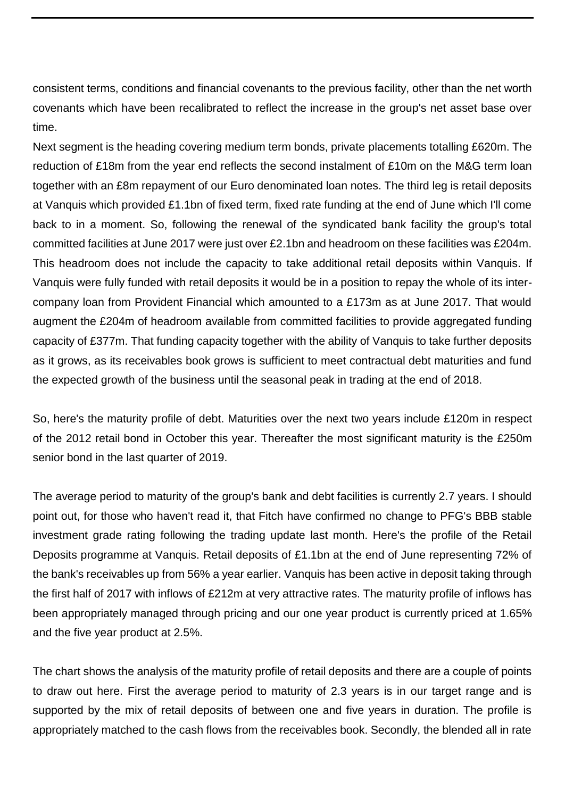consistent terms, conditions and financial covenants to the previous facility, other than the net worth covenants which have been recalibrated to reflect the increase in the group's net asset base over time.

Next segment is the heading covering medium term bonds, private placements totalling £620m. The reduction of £18m from the year end reflects the second instalment of £10m on the M&G term loan together with an £8m repayment of our Euro denominated loan notes. The third leg is retail deposits at Vanquis which provided £1.1bn of fixed term, fixed rate funding at the end of June which I'll come back to in a moment. So, following the renewal of the syndicated bank facility the group's total committed facilities at June 2017 were just over £2.1bn and headroom on these facilities was £204m. This headroom does not include the capacity to take additional retail deposits within Vanquis. If Vanquis were fully funded with retail deposits it would be in a position to repay the whole of its intercompany loan from Provident Financial which amounted to a £173m as at June 2017. That would augment the £204m of headroom available from committed facilities to provide aggregated funding capacity of £377m. That funding capacity together with the ability of Vanquis to take further deposits as it grows, as its receivables book grows is sufficient to meet contractual debt maturities and fund the expected growth of the business until the seasonal peak in trading at the end of 2018.

So, here's the maturity profile of debt. Maturities over the next two years include £120m in respect of the 2012 retail bond in October this year. Thereafter the most significant maturity is the £250m senior bond in the last quarter of 2019.

The average period to maturity of the group's bank and debt facilities is currently 2.7 years. I should point out, for those who haven't read it, that Fitch have confirmed no change to PFG's BBB stable investment grade rating following the trading update last month. Here's the profile of the Retail Deposits programme at Vanquis. Retail deposits of £1.1bn at the end of June representing 72% of the bank's receivables up from 56% a year earlier. Vanquis has been active in deposit taking through the first half of 2017 with inflows of £212m at very attractive rates. The maturity profile of inflows has been appropriately managed through pricing and our one year product is currently priced at 1.65% and the five year product at 2.5%.

The chart shows the analysis of the maturity profile of retail deposits and there are a couple of points to draw out here. First the average period to maturity of 2.3 years is in our target range and is supported by the mix of retail deposits of between one and five years in duration. The profile is appropriately matched to the cash flows from the receivables book. Secondly, the blended all in rate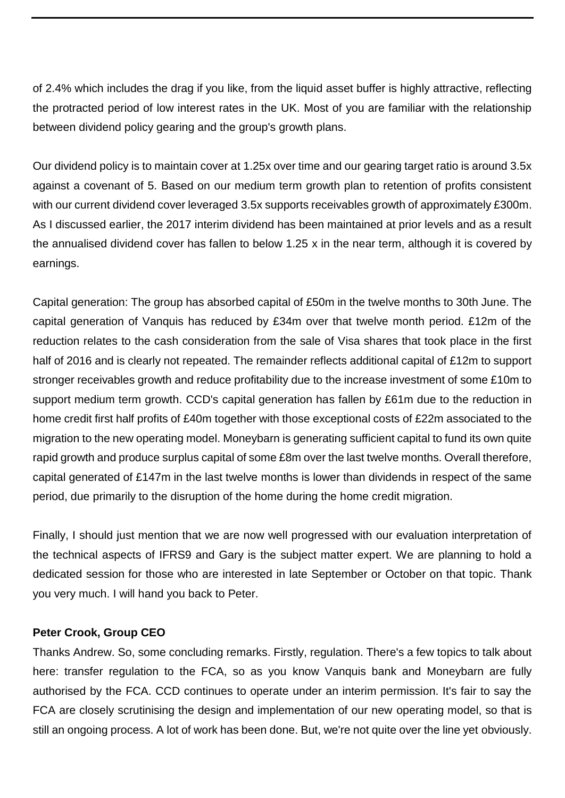of 2.4% which includes the drag if you like, from the liquid asset buffer is highly attractive, reflecting the protracted period of low interest rates in the UK. Most of you are familiar with the relationship between dividend policy gearing and the group's growth plans.

Our dividend policy is to maintain cover at 1.25x over time and our gearing target ratio is around 3.5x against a covenant of 5. Based on our medium term growth plan to retention of profits consistent with our current dividend cover leveraged 3.5x supports receivables growth of approximately £300m. As I discussed earlier, the 2017 interim dividend has been maintained at prior levels and as a result the annualised dividend cover has fallen to below 1.25 x in the near term, although it is covered by earnings.

Capital generation: The group has absorbed capital of £50m in the twelve months to 30th June. The capital generation of Vanquis has reduced by £34m over that twelve month period. £12m of the reduction relates to the cash consideration from the sale of Visa shares that took place in the first half of 2016 and is clearly not repeated. The remainder reflects additional capital of £12m to support stronger receivables growth and reduce profitability due to the increase investment of some £10m to support medium term growth. CCD's capital generation has fallen by £61m due to the reduction in home credit first half profits of £40m together with those exceptional costs of £22m associated to the migration to the new operating model. Moneybarn is generating sufficient capital to fund its own quite rapid growth and produce surplus capital of some £8m over the last twelve months. Overall therefore, capital generated of £147m in the last twelve months is lower than dividends in respect of the same period, due primarily to the disruption of the home during the home credit migration.

Finally, I should just mention that we are now well progressed with our evaluation interpretation of the technical aspects of IFRS9 and Gary is the subject matter expert. We are planning to hold a dedicated session for those who are interested in late September or October on that topic. Thank you very much. I will hand you back to Peter.

#### **Peter Crook, Group CEO**

Thanks Andrew. So, some concluding remarks. Firstly, regulation. There's a few topics to talk about here: transfer regulation to the FCA, so as you know Vanquis bank and Moneybarn are fully authorised by the FCA. CCD continues to operate under an interim permission. It's fair to say the FCA are closely scrutinising the design and implementation of our new operating model, so that is still an ongoing process. A lot of work has been done. But, we're not quite over the line yet obviously.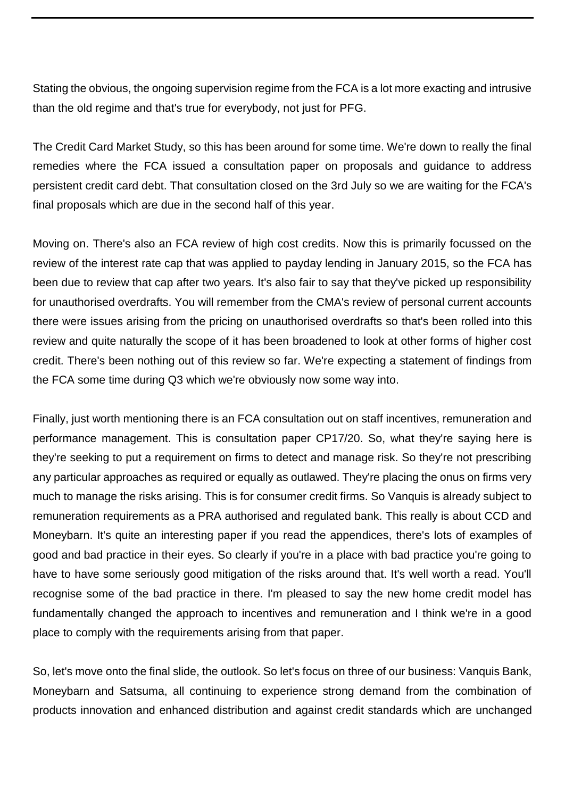Stating the obvious, the ongoing supervision regime from the FCA is a lot more exacting and intrusive than the old regime and that's true for everybody, not just for PFG.

The Credit Card Market Study, so this has been around for some time. We're down to really the final remedies where the FCA issued a consultation paper on proposals and guidance to address persistent credit card debt. That consultation closed on the 3rd July so we are waiting for the FCA's final proposals which are due in the second half of this year.

Moving on. There's also an FCA review of high cost credits. Now this is primarily focussed on the review of the interest rate cap that was applied to payday lending in January 2015, so the FCA has been due to review that cap after two years. It's also fair to say that they've picked up responsibility for unauthorised overdrafts. You will remember from the CMA's review of personal current accounts there were issues arising from the pricing on unauthorised overdrafts so that's been rolled into this review and quite naturally the scope of it has been broadened to look at other forms of higher cost credit. There's been nothing out of this review so far. We're expecting a statement of findings from the FCA some time during Q3 which we're obviously now some way into.

Finally, just worth mentioning there is an FCA consultation out on staff incentives, remuneration and performance management. This is consultation paper CP17/20. So, what they're saying here is they're seeking to put a requirement on firms to detect and manage risk. So they're not prescribing any particular approaches as required or equally as outlawed. They're placing the onus on firms very much to manage the risks arising. This is for consumer credit firms. So Vanquis is already subject to remuneration requirements as a PRA authorised and regulated bank. This really is about CCD and Moneybarn. It's quite an interesting paper if you read the appendices, there's lots of examples of good and bad practice in their eyes. So clearly if you're in a place with bad practice you're going to have to have some seriously good mitigation of the risks around that. It's well worth a read. You'll recognise some of the bad practice in there. I'm pleased to say the new home credit model has fundamentally changed the approach to incentives and remuneration and I think we're in a good place to comply with the requirements arising from that paper.

So, let's move onto the final slide, the outlook. So let's focus on three of our business: Vanquis Bank, Moneybarn and Satsuma, all continuing to experience strong demand from the combination of products innovation and enhanced distribution and against credit standards which are unchanged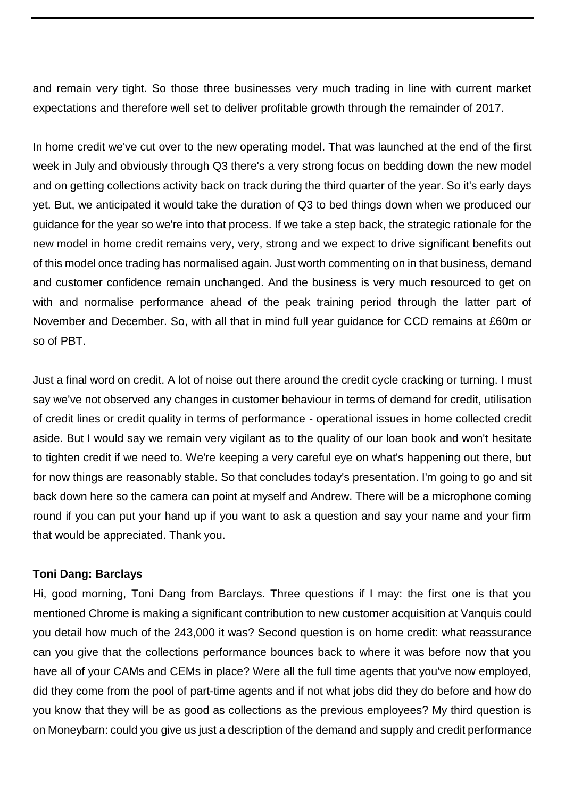and remain very tight. So those three businesses very much trading in line with current market expectations and therefore well set to deliver profitable growth through the remainder of 2017.

In home credit we've cut over to the new operating model. That was launched at the end of the first week in July and obviously through Q3 there's a very strong focus on bedding down the new model and on getting collections activity back on track during the third quarter of the year. So it's early days yet. But, we anticipated it would take the duration of Q3 to bed things down when we produced our guidance for the year so we're into that process. If we take a step back, the strategic rationale for the new model in home credit remains very, very, strong and we expect to drive significant benefits out of this model once trading has normalised again. Just worth commenting on in that business, demand and customer confidence remain unchanged. And the business is very much resourced to get on with and normalise performance ahead of the peak training period through the latter part of November and December. So, with all that in mind full year guidance for CCD remains at £60m or so of PBT.

Just a final word on credit. A lot of noise out there around the credit cycle cracking or turning. I must say we've not observed any changes in customer behaviour in terms of demand for credit, utilisation of credit lines or credit quality in terms of performance - operational issues in home collected credit aside. But I would say we remain very vigilant as to the quality of our loan book and won't hesitate to tighten credit if we need to. We're keeping a very careful eye on what's happening out there, but for now things are reasonably stable. So that concludes today's presentation. I'm going to go and sit back down here so the camera can point at myself and Andrew. There will be a microphone coming round if you can put your hand up if you want to ask a question and say your name and your firm that would be appreciated. Thank you.

# **Toni Dang: Barclays**

Hi, good morning, Toni Dang from Barclays. Three questions if I may: the first one is that you mentioned Chrome is making a significant contribution to new customer acquisition at Vanquis could you detail how much of the 243,000 it was? Second question is on home credit: what reassurance can you give that the collections performance bounces back to where it was before now that you have all of your CAMs and CEMs in place? Were all the full time agents that you've now employed, did they come from the pool of part-time agents and if not what jobs did they do before and how do you know that they will be as good as collections as the previous employees? My third question is on Moneybarn: could you give us just a description of the demand and supply and credit performance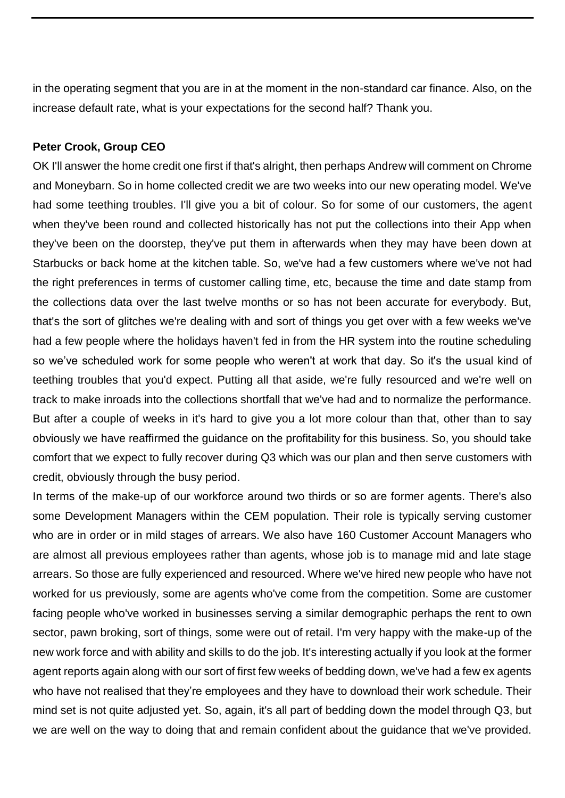in the operating segment that you are in at the moment in the non-standard car finance. Also, on the increase default rate, what is your expectations for the second half? Thank you.

## **Peter Crook, Group CEO**

OK I'll answer the home credit one first if that's alright, then perhaps Andrew will comment on Chrome and Moneybarn. So in home collected credit we are two weeks into our new operating model. We've had some teething troubles. I'll give you a bit of colour. So for some of our customers, the agent when they've been round and collected historically has not put the collections into their App when they've been on the doorstep, they've put them in afterwards when they may have been down at Starbucks or back home at the kitchen table. So, we've had a few customers where we've not had the right preferences in terms of customer calling time, etc, because the time and date stamp from the collections data over the last twelve months or so has not been accurate for everybody. But, that's the sort of glitches we're dealing with and sort of things you get over with a few weeks we've had a few people where the holidays haven't fed in from the HR system into the routine scheduling so we've scheduled work for some people who weren't at work that day. So it's the usual kind of teething troubles that you'd expect. Putting all that aside, we're fully resourced and we're well on track to make inroads into the collections shortfall that we've had and to normalize the performance. But after a couple of weeks in it's hard to give you a lot more colour than that, other than to say obviously we have reaffirmed the guidance on the profitability for this business. So, you should take comfort that we expect to fully recover during Q3 which was our plan and then serve customers with credit, obviously through the busy period.

In terms of the make-up of our workforce around two thirds or so are former agents. There's also some Development Managers within the CEM population. Their role is typically serving customer who are in order or in mild stages of arrears. We also have 160 Customer Account Managers who are almost all previous employees rather than agents, whose job is to manage mid and late stage arrears. So those are fully experienced and resourced. Where we've hired new people who have not worked for us previously, some are agents who've come from the competition. Some are customer facing people who've worked in businesses serving a similar demographic perhaps the rent to own sector, pawn broking, sort of things, some were out of retail. I'm very happy with the make-up of the new work force and with ability and skills to do the job. It's interesting actually if you look at the former agent reports again along with our sort of first few weeks of bedding down, we've had a few ex agents who have not realised that they're employees and they have to download their work schedule. Their mind set is not quite adjusted yet. So, again, it's all part of bedding down the model through Q3, but we are well on the way to doing that and remain confident about the guidance that we've provided.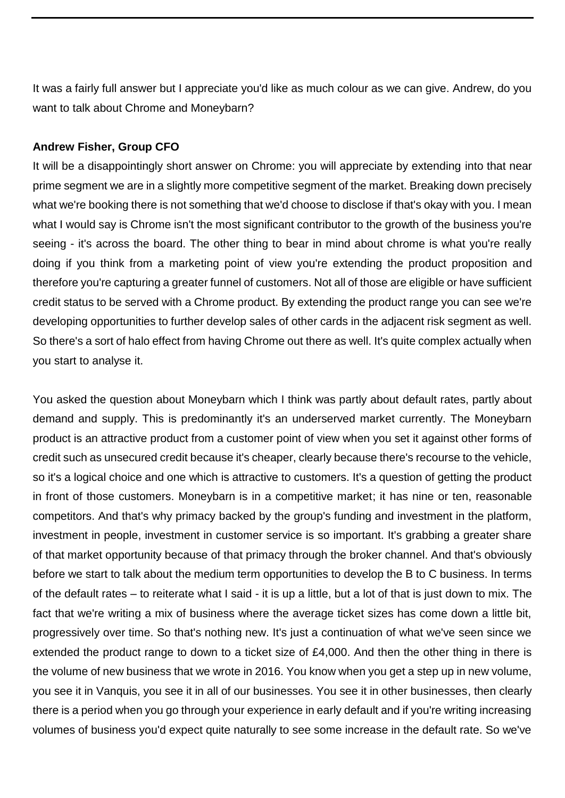It was a fairly full answer but I appreciate you'd like as much colour as we can give. Andrew, do you want to talk about Chrome and Moneybarn?

# **Andrew Fisher, Group CFO**

It will be a disappointingly short answer on Chrome: you will appreciate by extending into that near prime segment we are in a slightly more competitive segment of the market. Breaking down precisely what we're booking there is not something that we'd choose to disclose if that's okay with you. I mean what I would say is Chrome isn't the most significant contributor to the growth of the business you're seeing - it's across the board. The other thing to bear in mind about chrome is what you're really doing if you think from a marketing point of view you're extending the product proposition and therefore you're capturing a greater funnel of customers. Not all of those are eligible or have sufficient credit status to be served with a Chrome product. By extending the product range you can see we're developing opportunities to further develop sales of other cards in the adjacent risk segment as well. So there's a sort of halo effect from having Chrome out there as well. It's quite complex actually when you start to analyse it.

You asked the question about Moneybarn which I think was partly about default rates, partly about demand and supply. This is predominantly it's an underserved market currently. The Moneybarn product is an attractive product from a customer point of view when you set it against other forms of credit such as unsecured credit because it's cheaper, clearly because there's recourse to the vehicle, so it's a logical choice and one which is attractive to customers. It's a question of getting the product in front of those customers. Moneybarn is in a competitive market; it has nine or ten, reasonable competitors. And that's why primacy backed by the group's funding and investment in the platform, investment in people, investment in customer service is so important. It's grabbing a greater share of that market opportunity because of that primacy through the broker channel. And that's obviously before we start to talk about the medium term opportunities to develop the B to C business. In terms of the default rates – to reiterate what I said - it is up a little, but a lot of that is just down to mix. The fact that we're writing a mix of business where the average ticket sizes has come down a little bit, progressively over time. So that's nothing new. It's just a continuation of what we've seen since we extended the product range to down to a ticket size of £4,000. And then the other thing in there is the volume of new business that we wrote in 2016. You know when you get a step up in new volume, you see it in Vanquis, you see it in all of our businesses. You see it in other businesses, then clearly there is a period when you go through your experience in early default and if you're writing increasing volumes of business you'd expect quite naturally to see some increase in the default rate. So we've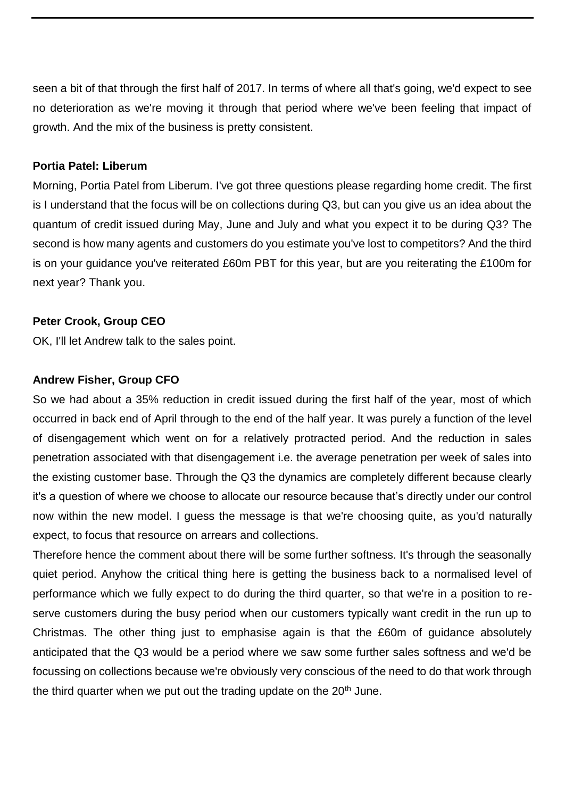seen a bit of that through the first half of 2017. In terms of where all that's going, we'd expect to see no deterioration as we're moving it through that period where we've been feeling that impact of growth. And the mix of the business is pretty consistent.

### **Portia Patel: Liberum**

Morning, Portia Patel from Liberum. I've got three questions please regarding home credit. The first is I understand that the focus will be on collections during Q3, but can you give us an idea about the quantum of credit issued during May, June and July and what you expect it to be during Q3? The second is how many agents and customers do you estimate you've lost to competitors? And the third is on your guidance you've reiterated £60m PBT for this year, but are you reiterating the £100m for next year? Thank you.

# **Peter Crook, Group CEO**

OK, I'll let Andrew talk to the sales point.

## **Andrew Fisher, Group CFO**

So we had about a 35% reduction in credit issued during the first half of the year, most of which occurred in back end of April through to the end of the half year. It was purely a function of the level of disengagement which went on for a relatively protracted period. And the reduction in sales penetration associated with that disengagement i.e. the average penetration per week of sales into the existing customer base. Through the Q3 the dynamics are completely different because clearly it's a question of where we choose to allocate our resource because that's directly under our control now within the new model. I guess the message is that we're choosing quite, as you'd naturally expect, to focus that resource on arrears and collections.

Therefore hence the comment about there will be some further softness. It's through the seasonally quiet period. Anyhow the critical thing here is getting the business back to a normalised level of performance which we fully expect to do during the third quarter, so that we're in a position to reserve customers during the busy period when our customers typically want credit in the run up to Christmas. The other thing just to emphasise again is that the £60m of guidance absolutely anticipated that the Q3 would be a period where we saw some further sales softness and we'd be focussing on collections because we're obviously very conscious of the need to do that work through the third quarter when we put out the trading update on the  $20<sup>th</sup>$  June.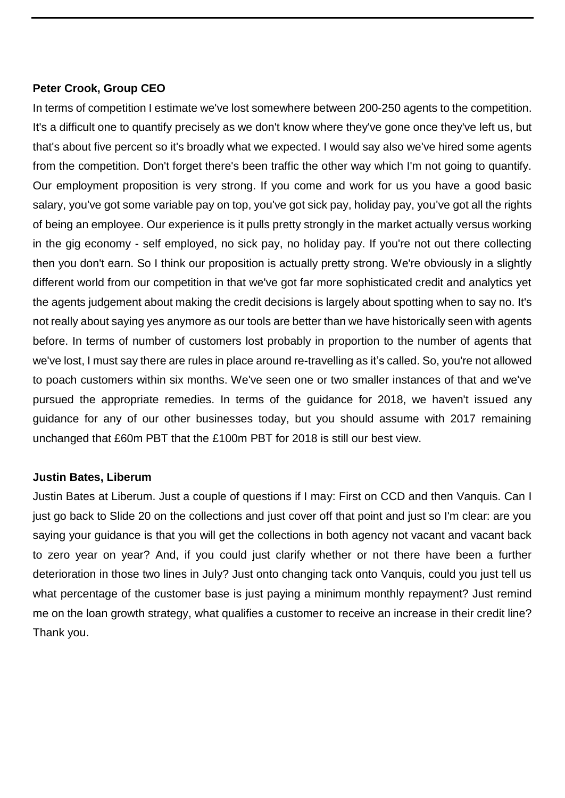### **Peter Crook, Group CEO**

In terms of competition I estimate we've lost somewhere between 200-250 agents to the competition. It's a difficult one to quantify precisely as we don't know where they've gone once they've left us, but that's about five percent so it's broadly what we expected. I would say also we've hired some agents from the competition. Don't forget there's been traffic the other way which I'm not going to quantify. Our employment proposition is very strong. If you come and work for us you have a good basic salary, you've got some variable pay on top, you've got sick pay, holiday pay, you've got all the rights of being an employee. Our experience is it pulls pretty strongly in the market actually versus working in the gig economy - self employed, no sick pay, no holiday pay. If you're not out there collecting then you don't earn. So I think our proposition is actually pretty strong. We're obviously in a slightly different world from our competition in that we've got far more sophisticated credit and analytics yet the agents judgement about making the credit decisions is largely about spotting when to say no. It's not really about saying yes anymore as our tools are better than we have historically seen with agents before. In terms of number of customers lost probably in proportion to the number of agents that we've lost, I must say there are rules in place around re-travelling as it's called. So, you're not allowed to poach customers within six months. We've seen one or two smaller instances of that and we've pursued the appropriate remedies. In terms of the guidance for 2018, we haven't issued any guidance for any of our other businesses today, but you should assume with 2017 remaining unchanged that £60m PBT that the £100m PBT for 2018 is still our best view.

# **Justin Bates, Liberum**

Justin Bates at Liberum. Just a couple of questions if I may: First on CCD and then Vanquis. Can I just go back to Slide 20 on the collections and just cover off that point and just so I'm clear: are you saying your guidance is that you will get the collections in both agency not vacant and vacant back to zero year on year? And, if you could just clarify whether or not there have been a further deterioration in those two lines in July? Just onto changing tack onto Vanquis, could you just tell us what percentage of the customer base is just paying a minimum monthly repayment? Just remind me on the loan growth strategy, what qualifies a customer to receive an increase in their credit line? Thank you.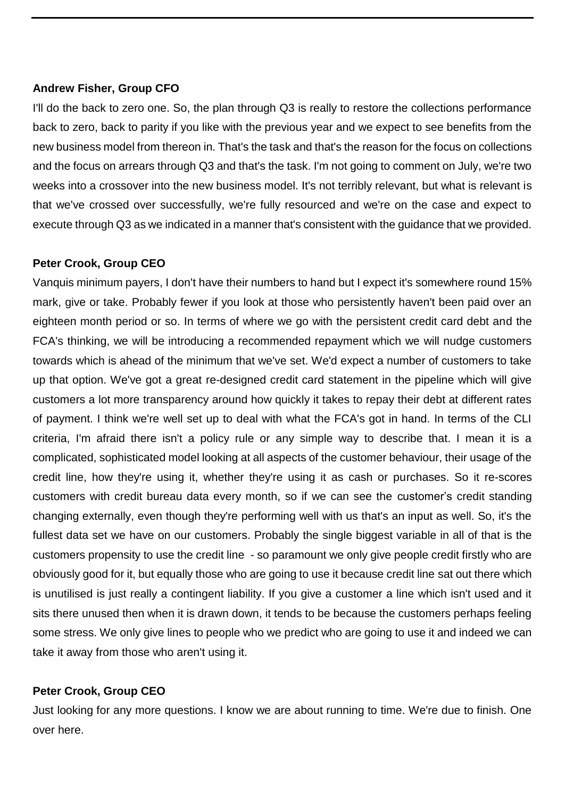#### **Andrew Fisher, Group CFO**

I'll do the back to zero one. So, the plan through Q3 is really to restore the collections performance back to zero, back to parity if you like with the previous year and we expect to see benefits from the new business model from thereon in. That's the task and that's the reason for the focus on collections and the focus on arrears through Q3 and that's the task. I'm not going to comment on July, we're two weeks into a crossover into the new business model. It's not terribly relevant, but what is relevant is that we've crossed over successfully, we're fully resourced and we're on the case and expect to execute through Q3 as we indicated in a manner that's consistent with the guidance that we provided.

### **Peter Crook, Group CEO**

Vanquis minimum payers, I don't have their numbers to hand but I expect it's somewhere round 15% mark, give or take. Probably fewer if you look at those who persistently haven't been paid over an eighteen month period or so. In terms of where we go with the persistent credit card debt and the FCA's thinking, we will be introducing a recommended repayment which we will nudge customers towards which is ahead of the minimum that we've set. We'd expect a number of customers to take up that option. We've got a great re-designed credit card statement in the pipeline which will give customers a lot more transparency around how quickly it takes to repay their debt at different rates of payment. I think we're well set up to deal with what the FCA's got in hand. In terms of the CLI criteria, I'm afraid there isn't a policy rule or any simple way to describe that. I mean it is a complicated, sophisticated model looking at all aspects of the customer behaviour, their usage of the credit line, how they're using it, whether they're using it as cash or purchases. So it re-scores customers with credit bureau data every month, so if we can see the customer's credit standing changing externally, even though they're performing well with us that's an input as well. So, it's the fullest data set we have on our customers. Probably the single biggest variable in all of that is the customers propensity to use the credit line - so paramount we only give people credit firstly who are obviously good for it, but equally those who are going to use it because credit line sat out there which is unutilised is just really a contingent liability. If you give a customer a line which isn't used and it sits there unused then when it is drawn down, it tends to be because the customers perhaps feeling some stress. We only give lines to people who we predict who are going to use it and indeed we can take it away from those who aren't using it.

#### **Peter Crook, Group CEO**

Just looking for any more questions. I know we are about running to time. We're due to finish. One over here.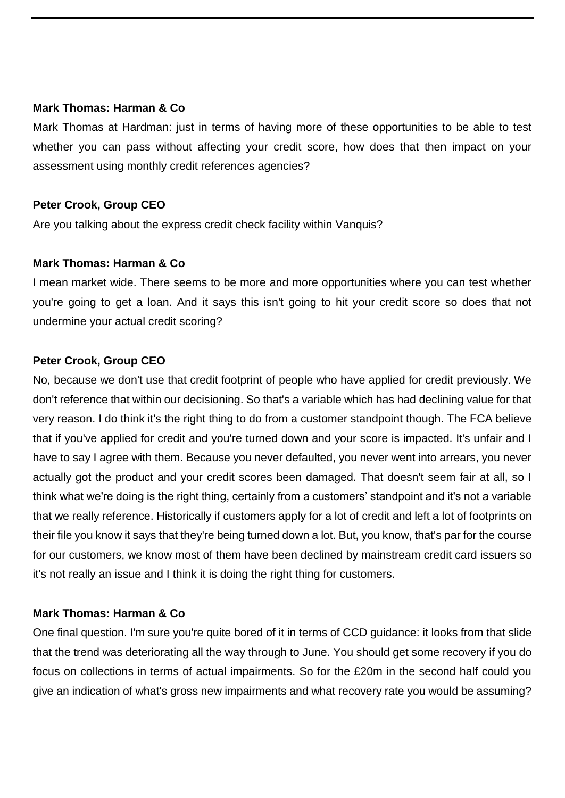#### **Mark Thomas: Harman & Co**

Mark Thomas at Hardman: just in terms of having more of these opportunities to be able to test whether you can pass without affecting your credit score, how does that then impact on your assessment using monthly credit references agencies?

## **Peter Crook, Group CEO**

Are you talking about the express credit check facility within Vanquis?

### **Mark Thomas: Harman & Co**

I mean market wide. There seems to be more and more opportunities where you can test whether you're going to get a loan. And it says this isn't going to hit your credit score so does that not undermine your actual credit scoring?

# **Peter Crook, Group CEO**

No, because we don't use that credit footprint of people who have applied for credit previously. We don't reference that within our decisioning. So that's a variable which has had declining value for that very reason. I do think it's the right thing to do from a customer standpoint though. The FCA believe that if you've applied for credit and you're turned down and your score is impacted. It's unfair and I have to say I agree with them. Because you never defaulted, you never went into arrears, you never actually got the product and your credit scores been damaged. That doesn't seem fair at all, so I think what we're doing is the right thing, certainly from a customers' standpoint and it's not a variable that we really reference. Historically if customers apply for a lot of credit and left a lot of footprints on their file you know it says that they're being turned down a lot. But, you know, that's par for the course for our customers, we know most of them have been declined by mainstream credit card issuers so it's not really an issue and I think it is doing the right thing for customers.

#### **Mark Thomas: Harman & Co**

One final question. I'm sure you're quite bored of it in terms of CCD guidance: it looks from that slide that the trend was deteriorating all the way through to June. You should get some recovery if you do focus on collections in terms of actual impairments. So for the £20m in the second half could you give an indication of what's gross new impairments and what recovery rate you would be assuming?